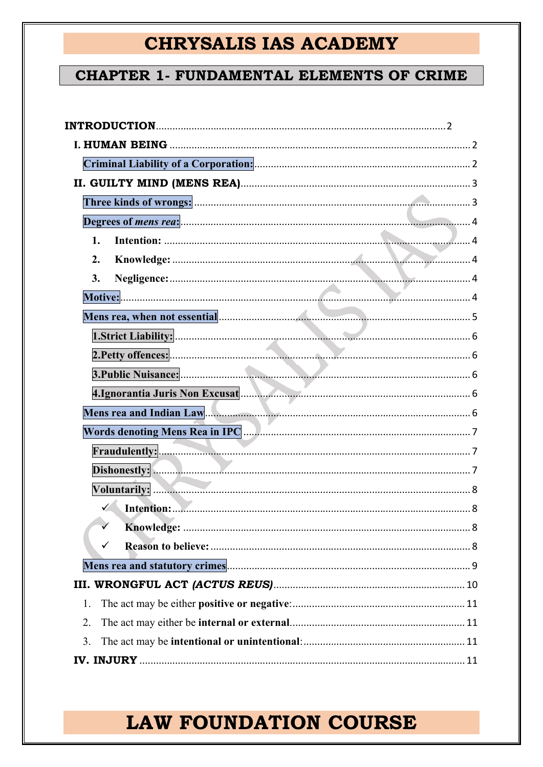## **CHAPTER 1- FUNDAMENTAL ELEMENTS OF CRIME**

| 1.                                                                                                                                                                                                                                   |
|--------------------------------------------------------------------------------------------------------------------------------------------------------------------------------------------------------------------------------------|
| 2.                                                                                                                                                                                                                                   |
| 3.                                                                                                                                                                                                                                   |
|                                                                                                                                                                                                                                      |
| Mens rea, when not essential <b>contract and the contract of the set of the set of the set of the set of the set of the set of the set of the set of the set of the set of the set of the set of the set of the set of the set o</b> |
|                                                                                                                                                                                                                                      |
|                                                                                                                                                                                                                                      |
|                                                                                                                                                                                                                                      |
| 4.Ignorantia Juris Non Excusat                                                                                                                                                                                                       |
| Mens rea and Indian Law Manuscript Communication and Separate Separate Separate Separate Separate Separate Separate Separate Separate Separate Separate Separate Separate Separate Separate Separate Separate Separate Separat       |
|                                                                                                                                                                                                                                      |
|                                                                                                                                                                                                                                      |
|                                                                                                                                                                                                                                      |
|                                                                                                                                                                                                                                      |
|                                                                                                                                                                                                                                      |
|                                                                                                                                                                                                                                      |
| ✓                                                                                                                                                                                                                                    |
|                                                                                                                                                                                                                                      |
|                                                                                                                                                                                                                                      |
| 1.                                                                                                                                                                                                                                   |
| 2.                                                                                                                                                                                                                                   |
| 3.                                                                                                                                                                                                                                   |
|                                                                                                                                                                                                                                      |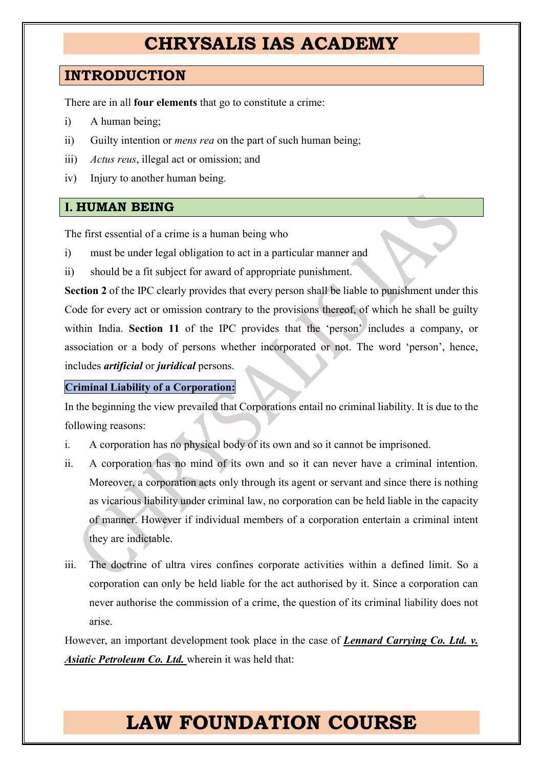## <span id="page-1-0"></span>**INTRODUCTION**

There are in all **four elements** that go to constitute a crime:

- i) A human being;
- ii) Guilty intention or *mens rea* on the part of such human being;
- iii) *Actus reus*, illegal act or omission; and
- iv) Injury to another human being.

### <span id="page-1-1"></span>**I. HUMAN BEING**

The first essential of a crime is a human being who

- i) must be under legal obligation to act in a particular manner and
- ii) should be a fit subject for award of appropriate punishment.

**Section 2** of the IPC clearly provides that every person shall be liable to punishment under this Code for every act or omission contrary to the provisions thereof, of which he shall be guilty within India. **Section 11** of the IPC provides that the 'person' includes a company, or association or a body of persons whether incorporated or not. The word 'person', hence, includes *artificial* or *juridical* persons.

#### <span id="page-1-2"></span>**Criminal Liability of a Corporation:**

In the beginning the view prevailed that Corporations entail no criminal liability. It is due to the following reasons:

- i. A corporation has no physical body of its own and so it cannot be imprisoned.
- ii. A corporation has no mind of its own and so it can never have a criminal intention. Moreover, a corporation acts only through its agent or servant and since there is nothing as vicarious liability under criminal law, no corporation can be held liable in the capacity of manner. However if individual members of a corporation entertain a criminal intent they are indictable.
- iii. The doctrine of ultra vires confines corporate activities within a defined limit. So a corporation can only be held liable for the act authorised by it. Since a corporation can never authorise the commission of a crime, the question of its criminal liability does not arise.

However, an important development took place in the case of *Lennard Carrying Co. Ltd. v. Asiatic Petroleum Co. Ltd.* wherein it was held that: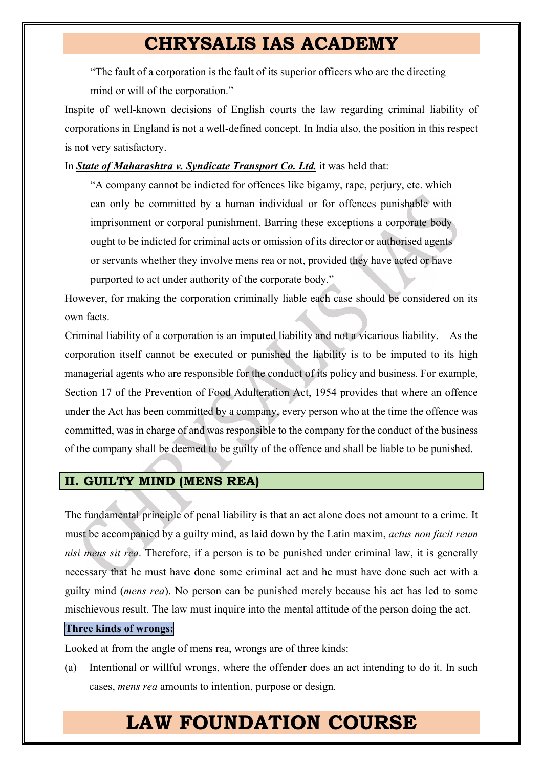"The fault of a corporation is the fault of its superior officers who are the directing mind or will of the corporation."

Inspite of well-known decisions of English courts the law regarding criminal liability of corporations in England is not a well-defined concept. In India also, the position in this respect is not very satisfactory.

In *State of Maharashtra v. Syndicate Transport Co. Ltd.* it was held that:

"A company cannot be indicted for offences like bigamy, rape, perjury, etc. which can only be committed by a human individual or for offences punishable with imprisonment or corporal punishment. Barring these exceptions a corporate body ought to be indicted for criminal acts or omission of its director or authorised agents or servants whether they involve mens rea or not, provided they have acted or have purported to act under authority of the corporate body."

However, for making the corporation criminally liable each case should be considered on its own facts.

Criminal liability of a corporation is an imputed liability and not a vicarious liability. As the corporation itself cannot be executed or punished the liability is to be imputed to its high managerial agents who are responsible for the conduct of its policy and business. For example, Section 17 of the Prevention of Food Adulteration Act, 1954 provides that where an offence under the Act has been committed by a company, every person who at the time the offence was committed, was in charge of and was responsible to the company for the conduct of the business of the company shall be deemed to be guilty of the offence and shall be liable to be punished.

### <span id="page-2-0"></span>**II. GUILTY MIND (MENS REA)**

The fundamental principle of penal liability is that an act alone does not amount to a crime. It must be accompanied by a guilty mind, as laid down by the Latin maxim, *actus non facit reum nisi mens sit rea*. Therefore, if a person is to be punished under criminal law, it is generally necessary that he must have done some criminal act and he must have done such act with a guilty mind (*mens rea*). No person can be punished merely because his act has led to some mischievous result. The law must inquire into the mental attitude of the person doing the act.

#### <span id="page-2-1"></span>**Three kinds of wrongs:**

Looked at from the angle of mens rea, wrongs are of three kinds:

(a) Intentional or willful wrongs, where the offender does an act intending to do it. In such cases, *mens rea* amounts to intention, purpose or design.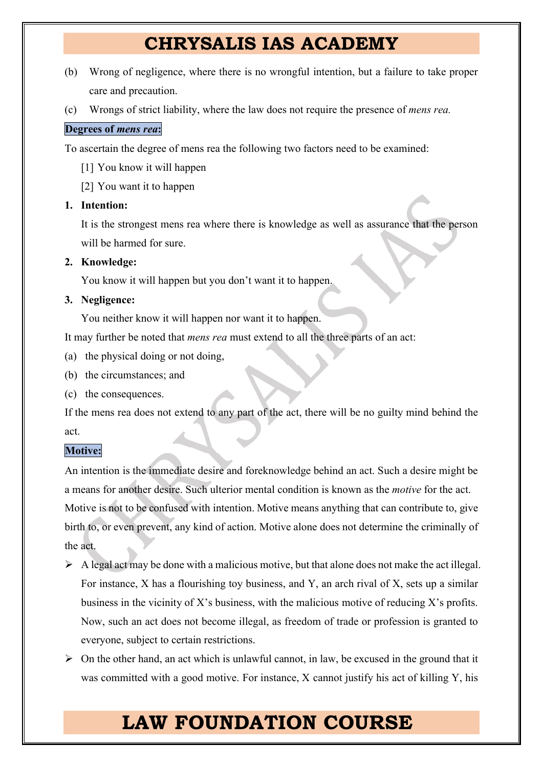- (b) Wrong of negligence, where there is no wrongful intention, but a failure to take proper care and precaution.
- (c) Wrongs of strict liability, where the law does not require the presence of *mens rea.*

### <span id="page-3-0"></span>**Degrees of** *mens rea***:**

To ascertain the degree of mens rea the following two factors need to be examined:

- [1] You know it will happen
- [2] You want it to happen

### <span id="page-3-1"></span>**1. Intention:**

It is the strongest mens rea where there is knowledge as well as assurance that the person will be harmed for sure.

### <span id="page-3-2"></span>**2. Knowledge:**

You know it will happen but you don't want it to happen.

### <span id="page-3-3"></span>**3. Negligence:**

You neither know it will happen nor want it to happen.

It may further be noted that *mens rea* must extend to all the three parts of an act:

- (a) the physical doing or not doing,
- (b) the circumstances; and
- (c) the consequences.

If the mens rea does not extend to any part of the act, there will be no guilty mind behind the act.

### <span id="page-3-4"></span>**Motive:**

An intention is the immediate desire and foreknowledge behind an act. Such a desire might be a means for another desire. Such ulterior mental condition is known as the *motive* for the act. Motive is not to be confused with intention. Motive means anything that can contribute to, give birth to, or even prevent, any kind of action. Motive alone does not determine the criminally of the act.

- $\triangleright$  A legal act may be done with a malicious motive, but that alone does not make the act illegal. For instance, X has a flourishing toy business, and Y, an arch rival of X, sets up a similar business in the vicinity of X's business, with the malicious motive of reducing X's profits. Now, such an act does not become illegal, as freedom of trade or profession is granted to everyone, subject to certain restrictions.
- $\triangleright$  On the other hand, an act which is unlawful cannot, in law, be excused in the ground that it was committed with a good motive. For instance, X cannot justify his act of killing Y, his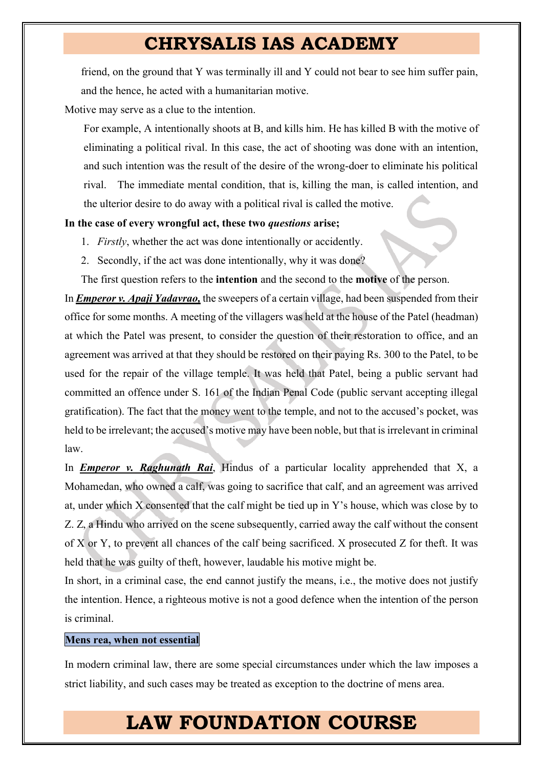friend, on the ground that Y was terminally ill and Y could not bear to see him suffer pain, and the hence, he acted with a humanitarian motive.

Motive may serve as a clue to the intention.

For example, A intentionally shoots at B, and kills him. He has killed B with the motive of eliminating a political rival. In this case, the act of shooting was done with an intention, and such intention was the result of the desire of the wrong-doer to eliminate his political rival. The immediate mental condition, that is, killing the man, is called intention, and the ulterior desire to do away with a political rival is called the motive.

#### **In the case of every wrongful act, these two** *questions* **arise;**

- 1. *Firstly*, whether the act was done intentionally or accidently.
- 2. Secondly, if the act was done intentionally, why it was done?

The first question refers to the **intention** and the second to the **motive** of the person.

In *Emperor v. Apaji Yadavrao,* the sweepers of a certain village, had been suspended from their office for some months. A meeting of the villagers was held at the house of the Patel (headman) at which the Patel was present, to consider the question of their restoration to office, and an agreement was arrived at that they should be restored on their paying Rs. 300 to the Patel, to be used for the repair of the village temple. It was held that Patel, being a public servant had committed an offence under S. 161 of the Indian Penal Code (public servant accepting illegal gratification). The fact that the money went to the temple, and not to the accused's pocket, was held to be irrelevant; the accused's motive may have been noble, but that is irrelevant in criminal law.

In *Emperor v. Raghunath Rai*, Hindus of a particular locality apprehended that X, a Mohamedan, who owned a calf, was going to sacrifice that calf, and an agreement was arrived at, under which X consented that the calf might be tied up in Y's house, which was close by to Z. Z, a Hindu who arrived on the scene subsequently, carried away the calf without the consent of X or Y, to prevent all chances of the calf being sacrificed. X prosecuted Z for theft. It was held that he was guilty of theft, however, laudable his motive might be.

In short, in a criminal case, the end cannot justify the means, i.e., the motive does not justify the intention. Hence, a righteous motive is not a good defence when the intention of the person is criminal.

#### <span id="page-4-0"></span>**Mens rea, when not essential**

In modern criminal law, there are some special circumstances under which the law imposes a strict liability, and such cases may be treated as exception to the doctrine of mens area.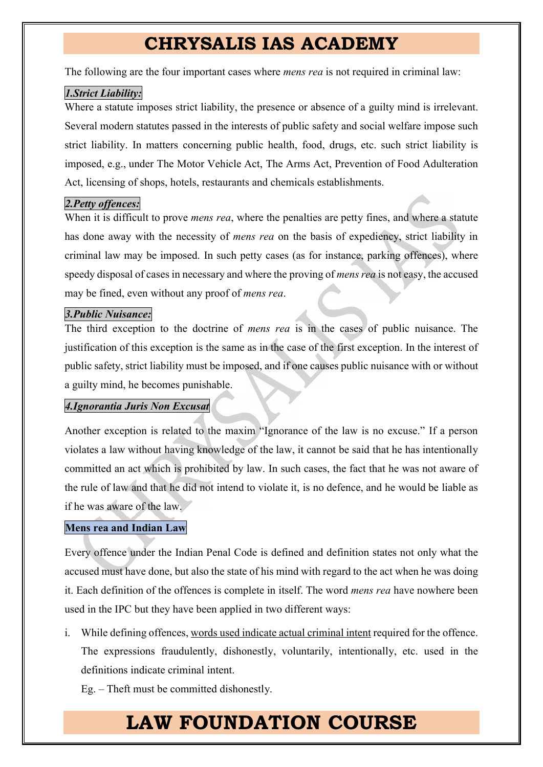The following are the four important cases where *mens rea* is not required in criminal law:

### <span id="page-5-0"></span>*1.Strict Liability:*

Where a statute imposes strict liability, the presence or absence of a guilty mind is irrelevant. Several modern statutes passed in the interests of public safety and social welfare impose such strict liability. In matters concerning public health, food, drugs, etc. such strict liability is imposed, e.g., under The Motor Vehicle Act, The Arms Act, Prevention of Food Adulteration Act, licensing of shops, hotels, restaurants and chemicals establishments.

### <span id="page-5-1"></span>*2.Petty offences:*

When it is difficult to prove *mens rea*, where the penalties are petty fines, and where a statute has done away with the necessity of *mens rea* on the basis of expediency, strict liability in criminal law may be imposed. In such petty cases (as for instance, parking offences), where speedy disposal of cases in necessary and where the proving of *mens rea* is not easy, the accused may be fined, even without any proof of *mens rea*.

### <span id="page-5-2"></span>*3.Public Nuisance:*

The third exception to the doctrine of *mens rea* is in the cases of public nuisance. The justification of this exception is the same as in the case of the first exception. In the interest of public safety, strict liability must be imposed, and if one causes public nuisance with or without a guilty mind, he becomes punishable.

### <span id="page-5-3"></span>*4.Ignorantia Juris Non Excusat*

Another exception is related to the maxim "Ignorance of the law is no excuse." If a person violates a law without having knowledge of the law, it cannot be said that he has intentionally committed an act which is prohibited by law. In such cases, the fact that he was not aware of the rule of law and that he did not intend to violate it, is no defence, and he would be liable as if he was aware of the law.

### <span id="page-5-4"></span>**Mens rea and Indian Law**

Every offence under the Indian Penal Code is defined and definition states not only what the accused must have done, but also the state of his mind with regard to the act when he was doing it. Each definition of the offences is complete in itself. The word *mens rea* have nowhere been used in the IPC but they have been applied in two different ways:

i. While defining offences, words used indicate actual criminal intent required for the offence. The expressions fraudulently, dishonestly, voluntarily, intentionally, etc. used in the definitions indicate criminal intent.

Eg. – Theft must be committed dishonestly.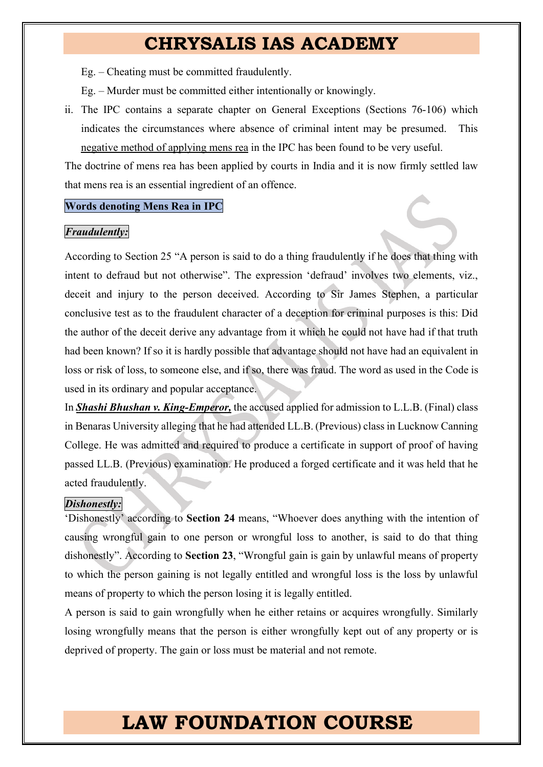Eg. – Cheating must be committed fraudulently.

Eg. – Murder must be committed either intentionally or knowingly.

ii. The IPC contains a separate chapter on General Exceptions (Sections 76-106) which indicates the circumstances where absence of criminal intent may be presumed. This negative method of applying mens rea in the IPC has been found to be very useful.

The doctrine of mens rea has been applied by courts in India and it is now firmly settled law that mens rea is an essential ingredient of an offence.

#### <span id="page-6-0"></span>**Words denoting Mens Rea in IPC**

#### <span id="page-6-1"></span>*Fraudulently:*

According to Section 25 "A person is said to do a thing fraudulently if he does that thing with intent to defraud but not otherwise". The expression 'defraud' involves two elements, viz., deceit and injury to the person deceived. According to Sir James Stephen, a particular conclusive test as to the fraudulent character of a deception for criminal purposes is this: Did the author of the deceit derive any advantage from it which he could not have had if that truth had been known? If so it is hardly possible that advantage should not have had an equivalent in loss or risk of loss, to someone else, and if so, there was fraud. The word as used in the Code is used in its ordinary and popular acceptance.

In *Shashi Bhushan v. King-Emperor,* the accused applied for admission to L.L.B. (Final) class in Benaras University alleging that he had attended LL.B. (Previous) class in Lucknow Canning College. He was admitted and required to produce a certificate in support of proof of having passed LL.B. (Previous) examination. He produced a forged certificate and it was held that he acted fraudulently.

#### <span id="page-6-2"></span>*Dishonestly:*

'Dishonestly' according to **Section 24** means, "Whoever does anything with the intention of causing wrongful gain to one person or wrongful loss to another, is said to do that thing dishonestly". According to **Section 23**, "Wrongful gain is gain by unlawful means of property to which the person gaining is not legally entitled and wrongful loss is the loss by unlawful means of property to which the person losing it is legally entitled.

A person is said to gain wrongfully when he either retains or acquires wrongfully. Similarly losing wrongfully means that the person is either wrongfully kept out of any property or is deprived of property. The gain or loss must be material and not remote.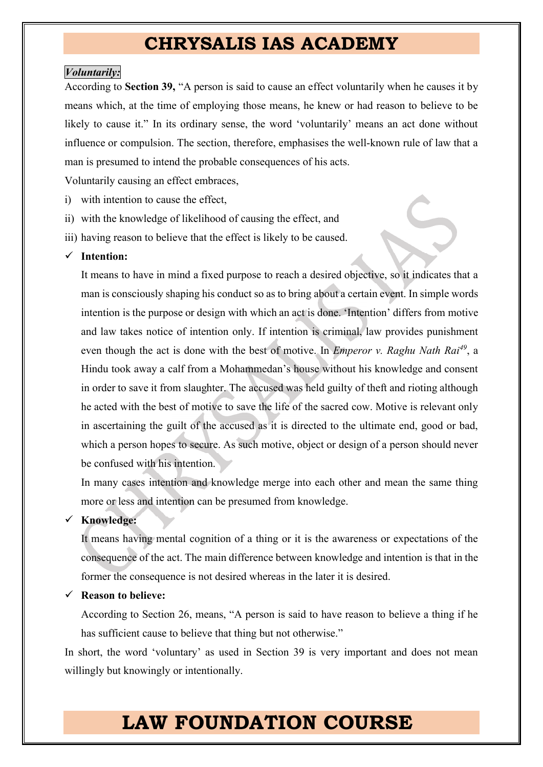#### <span id="page-7-0"></span>*Voluntarily:*

According to **Section 39,** "A person is said to cause an effect voluntarily when he causes it by means which, at the time of employing those means, he knew or had reason to believe to be likely to cause it." In its ordinary sense, the word 'voluntarily' means an act done without influence or compulsion. The section, therefore, emphasises the well-known rule of law that a man is presumed to intend the probable consequences of his acts.

Voluntarily causing an effect embraces,

- i) with intention to cause the effect,
- ii) with the knowledge of likelihood of causing the effect, and
- iii) having reason to believe that the effect is likely to be caused.

#### <span id="page-7-1"></span>¸ **Intention:**

It means to have in mind a fixed purpose to reach a desired objective, so it indicates that a man is consciously shaping his conduct so as to bring about a certain event. In simple words intention is the purpose or design with which an act is done. 'Intention' differs from motive and law takes notice of intention only. If intention is criminal, law provides punishment even though the act is done with the best of motive. In *Emperor v. Raghu Nath Rai<sup>49</sup>*, a Hindu took away a calf from a Mohammedan's house without his knowledge and consent in order to save it from slaughter. The accused was held guilty of theft and rioting although he acted with the best of motive to save the life of the sacred cow. Motive is relevant only in ascertaining the guilt of the accused as it is directed to the ultimate end, good or bad, which a person hopes to secure. As such motive, object or design of a person should never be confused with his intention.

In many cases intention and knowledge merge into each other and mean the same thing more or less and intention can be presumed from knowledge.

#### <span id="page-7-2"></span>¸ **Knowledge:**

It means having mental cognition of a thing or it is the awareness or expectations of the consequence of the act. The main difference between knowledge and intention is that in the former the consequence is not desired whereas in the later it is desired.

<span id="page-7-3"></span>¸ **Reason to believe:**

According to Section 26, means, "A person is said to have reason to believe a thing if he has sufficient cause to believe that thing but not otherwise."

In short, the word 'voluntary' as used in Section 39 is very important and does not mean willingly but knowingly or intentionally.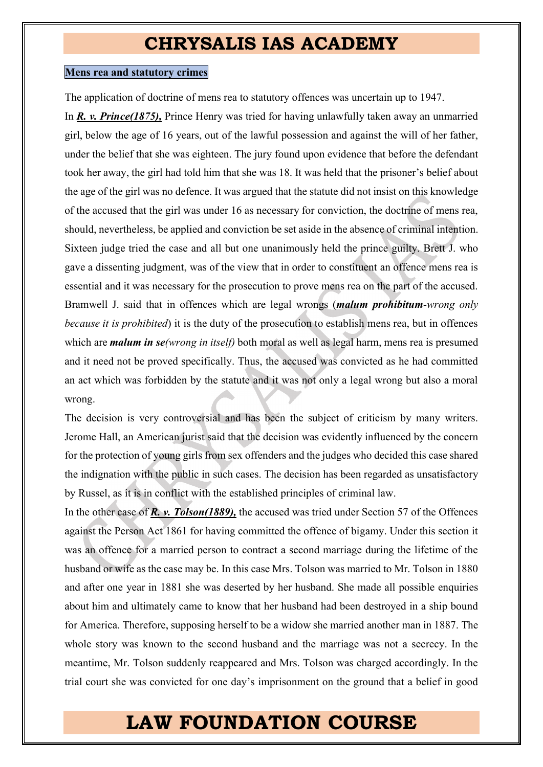#### <span id="page-8-0"></span>**Mens rea and statutory crimes**

The application of doctrine of mens rea to statutory offences was uncertain up to 1947.

In *R. v. Prince(1875),* Prince Henry was tried for having unlawfully taken away an unmarried girl, below the age of 16 years, out of the lawful possession and against the will of her father, under the belief that she was eighteen. The jury found upon evidence that before the defendant took her away, the girl had told him that she was 18. It was held that the prisoner's belief about the age of the girl was no defence. It was argued that the statute did not insist on this knowledge of the accused that the girl was under 16 as necessary for conviction, the doctrine of mens rea, should, nevertheless, be applied and conviction be set aside in the absence of criminal intention. Sixteen judge tried the case and all but one unanimously held the prince guilty. Brett J. who gave a dissenting judgment, was of the view that in order to constituent an offence mens rea is essential and it was necessary for the prosecution to prove mens rea on the part of the accused. Bramwell J. said that in offences which are legal wrongs (*malum prohibitum-wrong only because it is prohibited*) it is the duty of the prosecution to establish mens rea, but in offences which are *malum in se(wrong in itself)* both moral as well as legal harm, mens rea is presumed and it need not be proved specifically. Thus, the accused was convicted as he had committed an act which was forbidden by the statute and it was not only a legal wrong but also a moral wrong.

The decision is very controversial and has been the subject of criticism by many writers. Jerome Hall, an American jurist said that the decision was evidently influenced by the concern for the protection of young girls from sex offenders and the judges who decided this case shared the indignation with the public in such cases. The decision has been regarded as unsatisfactory by Russel, as it is in conflict with the established principles of criminal law.

In the other case of *R. v. Tolson(1889),* the accused was tried under Section 57 of the Offences against the Person Act 1861 for having committed the offence of bigamy. Under this section it was an offence for a married person to contract a second marriage during the lifetime of the husband or wife as the case may be. In this case Mrs. Tolson was married to Mr. Tolson in 1880 and after one year in 1881 she was deserted by her husband. She made all possible enquiries about him and ultimately came to know that her husband had been destroyed in a ship bound for America. Therefore, supposing herself to be a widow she married another man in 1887. The whole story was known to the second husband and the marriage was not a secrecy. In the meantime, Mr. Tolson suddenly reappeared and Mrs. Tolson was charged accordingly. In the trial court she was convicted for one day's imprisonment on the ground that a belief in good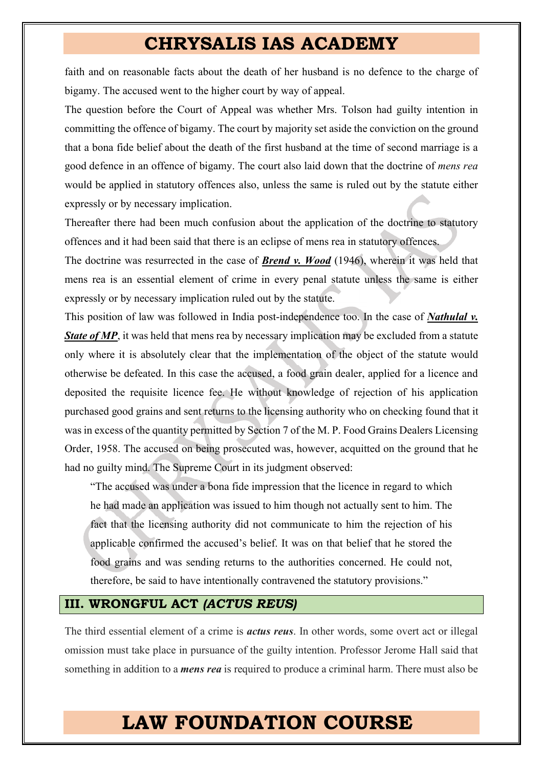faith and on reasonable facts about the death of her husband is no defence to the charge of bigamy. The accused went to the higher court by way of appeal.

The question before the Court of Appeal was whether Mrs. Tolson had guilty intention in committing the offence of bigamy. The court by majority set aside the conviction on the ground that a bona fide belief about the death of the first husband at the time of second marriage is a good defence in an offence of bigamy. The court also laid down that the doctrine of *mens rea*  would be applied in statutory offences also, unless the same is ruled out by the statute either expressly or by necessary implication.

Thereafter there had been much confusion about the application of the doctrine to statutory offences and it had been said that there is an eclipse of mens rea in statutory offences.

The doctrine was resurrected in the case of *Brend v. Wood* (1946), wherein it was held that mens rea is an essential element of crime in every penal statute unless the same is either expressly or by necessary implication ruled out by the statute.

This position of law was followed in India post-independence too. In the case of *Nathulal v. State of MP*, it was held that mens rea by necessary implication may be excluded from a statute only where it is absolutely clear that the implementation of the object of the statute would otherwise be defeated. In this case the accused, a food grain dealer, applied for a licence and deposited the requisite licence fee. He without knowledge of rejection of his application purchased good grains and sent returns to the licensing authority who on checking found that it was in excess of the quantity permitted by Section 7 of the M. P. Food Grains Dealers Licensing Order, 1958. The accused on being prosecuted was, however, acquitted on the ground that he had no guilty mind. The Supreme Court in its judgment observed:

"The accused was under a bona fide impression that the licence in regard to which he had made an application was issued to him though not actually sent to him. The fact that the licensing authority did not communicate to him the rejection of his applicable confirmed the accused's belief. It was on that belief that he stored the food grains and was sending returns to the authorities concerned. He could not, therefore, be said to have intentionally contravened the statutory provisions."

### <span id="page-9-0"></span>**III. WRONGFUL ACT** *(ACTUS REUS)*

The third essential element of a crime is *actus reus*. In other words, some overt act or illegal omission must take place in pursuance of the guilty intention. Professor Jerome Hall said that something in addition to a *mens rea* is required to produce a criminal harm. There must also be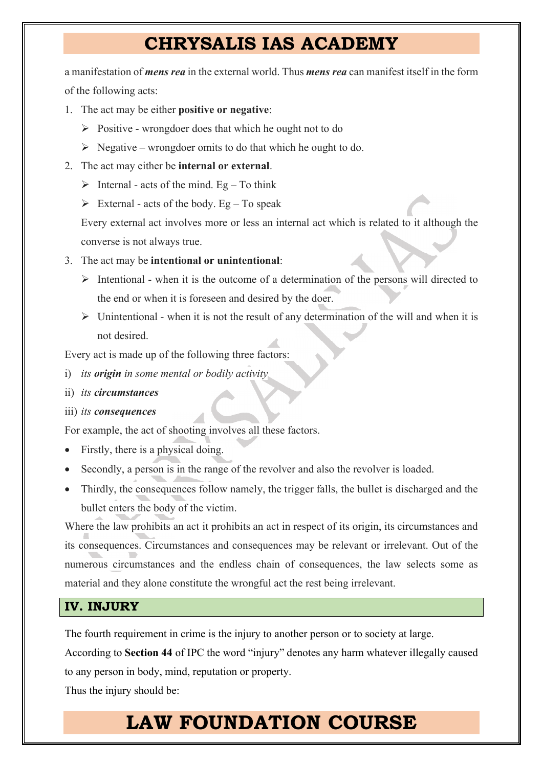a manifestation of *mens rea* in the external world. Thus *mens rea* can manifest itself in the form of the following acts:

- <span id="page-10-0"></span>1. The act may be either **positive or negative**:
	- $\triangleright$  Positive wrongdoer does that which he ought not to do
	- $\triangleright$  Negative wrongdoer omits to do that which he ought to do.
- <span id="page-10-1"></span>2. The act may either be **internal or external**.
	- $\triangleright$  Internal acts of the mind. Eg To think
	- $\triangleright$  External acts of the body. Eg To speak

Every external act involves more or less an internal act which is related to it although the converse is not always true.

- <span id="page-10-2"></span>3. The act may be **intentional or unintentional**:
	- $\triangleright$  Intentional when it is the outcome of a determination of the persons will directed to the end or when it is foreseen and desired by the doer.
	- $\triangleright$  Unintentional when it is not the result of any determination of the will and when it is not desired.

Every act is made up of the following three factors:

- i) *its origin in some mental or bodily activity*
- ii) *its circumstances*

#### iii) *its consequences*

For example, the act of shooting involves all these factors.

- Firstly, there is a physical doing.
- Secondly, a person is in the range of the revolver and also the revolver is loaded.
- Thirdly, the consequences follow namely, the trigger falls, the bullet is discharged and the bullet enters the body of the victim.

Where the law prohibits an act it prohibits an act in respect of its origin, its circumstances and its consequences. Circumstances and consequences may be relevant or irrelevant. Out of the numerous circumstances and the endless chain of consequences, the law selects some as material and they alone constitute the wrongful act the rest being irrelevant.

### <span id="page-10-3"></span>**IV. INJURY**

The fourth requirement in crime is the injury to another person or to society at large.

According to **Section 44** of IPC the word "injury" denotes any harm whatever illegally caused to any person in body, mind, reputation or property.

Thus the injury should be: